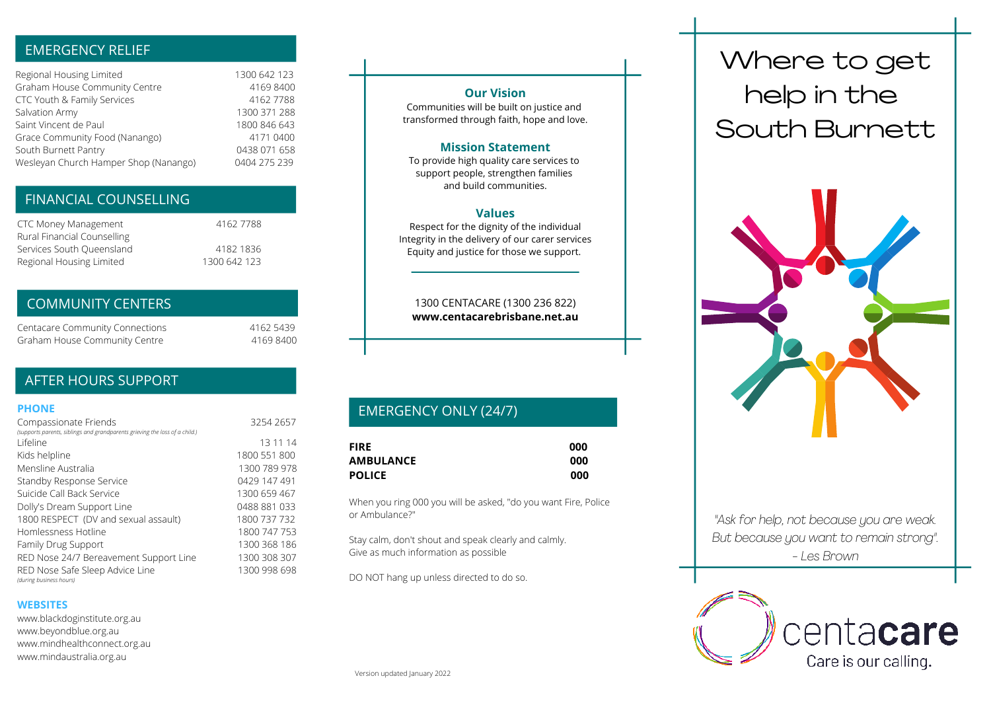# EMERGENCY RELIEF

| Regional Housing Limited              | 1300 642 123 |
|---------------------------------------|--------------|
| Graham House Community Centre         | 4169 8400    |
| CTC Youth & Family Services           | 4162 7788    |
| Salvation Army                        | 1300 371 288 |
| Saint Vincent de Paul                 | 1800 846 643 |
| Grace Community Food (Nanango)        | 4171 0400    |
| South Burnett Pantry                  | 0438 071 658 |
| Wesleyan Church Hamper Shop (Nanango) | 0404 275 239 |

# FINANCIAL COUNSELLING

| CTC Money Management        | 4162 7788    |
|-----------------------------|--------------|
| Rural Financial Counselling |              |
| Services South Queensland   | 4182 1836    |
| Regional Housing Limited    | 1300 642 123 |

#### COMMUNITY CENTERS

| <b>Centacare Community Connections</b> | 4162 5439 |
|----------------------------------------|-----------|
| Graham House Community Centre          | 41698400  |

# AFTER HOURS SUPPORT

#### **PHONE**

| Compassionate Friends<br>(supports parents, siblings and grandparents grieving the loss of a child.) | 3254 2657    |
|------------------------------------------------------------------------------------------------------|--------------|
| I ifeline                                                                                            | 13 11 14     |
| Kids helpline                                                                                        | 1800 551 800 |
| Mensline Australia                                                                                   | 1300 789 978 |
| Standby Response Service                                                                             | 0429 147 491 |
| Suicide Call Back Service                                                                            | 1300 659 467 |
| Dolly's Dream Support Line                                                                           | 0488 881 033 |
| 1800 RESPECT (DV and sexual assault)                                                                 | 1800 737 732 |
| Homlessness Hotline                                                                                  | 1800 747 753 |
| Family Drug Support                                                                                  | 1300 368 186 |
| RED Nose 24/7 Bereavement Support Line                                                               | 1300 308 307 |
| RED Nose Safe Sleep Advice Line<br>(during business hours)                                           | 1300 998 698 |

#### **WEBSITES**

www.blackdoginstitute.org.au www.beyondblue.org.au www.mindhealthconnect.org.au www.mindaustralia.org.au

#### **Our Vision**

Communities will be built on justice and transformed through faith, hope and love.

#### **Mission Statement**

To provide high quality care services to support people, strengthen families and build communities.

#### **Values**

Respect for the dignity of the individual Integrity in the delivery of our carer services Equity and justice for those we support.

1300 CENTACARE (1300 236 822) **www.centacarebrisbane.net.au**

# EMERGENCY ONLY (24/7)

| <b>FIRE</b>      | 000 |
|------------------|-----|
| <b>AMBULANCE</b> | 000 |
| <b>POLICE</b>    | 000 |

When you ring 000 you will be asked, "do you want Fire, Police or Ambulance?"

Stay calm, don't shout and speak clearly and calmly. Give as much information as possible

DO NOT hang up unless directed to do so.

# Where to get help in the South Burnett



*"Ask for help, not because you are weak. But because you want to remain strong". - Les Brown*